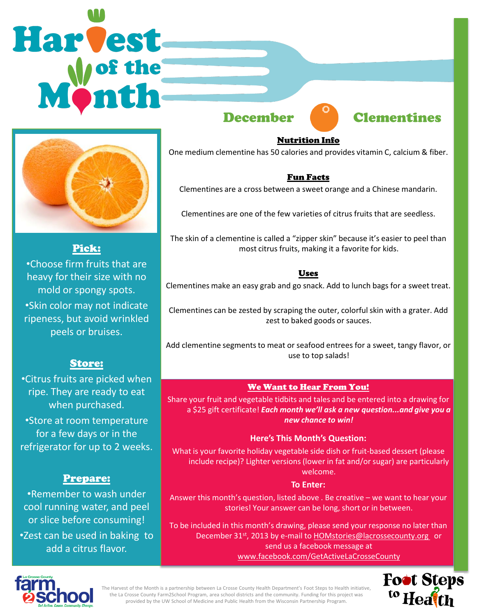# **Harvest**







Pick:

•Choose firm fruits that are heavy for their size with no mold or spongy spots. •Skin color may not indicate ripeness, but avoid wrinkled peels or bruises.

#### Store:

•Citrus fruits are picked when ripe. They are ready to eat when purchased.

•Store at room temperature for a few days or in the refrigerator for up to 2 weeks.

#### Prepare:

•Remember to wash under cool running water, and peel or slice before consuming! •Zest can be used in baking to add a citrus flavor.

#### Nutrition Info

One medium clementine has 50 calories and provides vitamin C, calcium & fiber.

#### Fun Facts

Clementines are a cross between a sweet orange and a Chinese mandarin.

Clementines are one of the few varieties of citrus fruits that are seedless.

The skin of a clementine is called a "zipper skin" because it's easier to peel than most citrus fruits, making it a favorite for kids.

#### Uses

Clementines make an easy grab and go snack. Add to lunch bags for a sweet treat.

Clementines can be zested by scraping the outer, colorful skin with a grater. Add zest to baked goods or sauces.

Add clementine segments to meat or seafood entrees for a sweet, tangy flavor, or use to top salads!

#### We Want to Hear From You!

Share your fruit and vegetable tidbits and tales and be entered into a drawing for a \$25 gift certificate! *Each month we'll ask a new question...and give you a new chance to win!* 

#### **Here's This Month's Question:**

What is your favorite holiday vegetable side dish or fruit-based dessert (please include recipe)? Lighter versions (lower in fat and/or sugar) are particularly welcome.

#### **To Enter:**

Answer this month's question, listed above . Be creative – we want to hear your stories! Your answer can be long, short or in between.

To be included in this month's drawing, please send your response no later than December 31st, 2013 by e-mail to **HOMstories@lacrossecounty.org** or send us a facebook message at www.facebook.com/GetActiveLaCrosseCounty



The Harvest of the Month is a partnership between La Crosse County Health Department's Foot Steps to Health initiative, the La Crosse County Farm2School Program, area school districts and the community. Funding for this project was provided by the UW School of Medicine and Public Health from the Wisconsin Partnership Program.